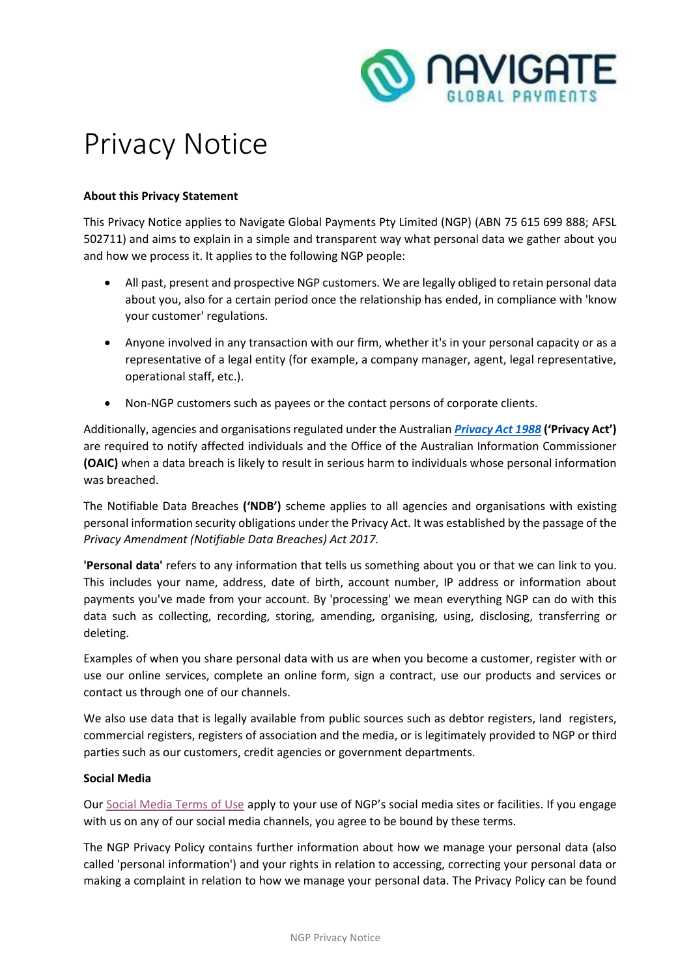

# Privacy Notice

# **About this Privacy Statement**

This Privacy Notice applies to Navigate Global Payments Pty Limited (NGP) (ABN 75 615 699 888; AFSL 502711) and aims to explain in a simple and transparent way what personal data we gather about you and how we process it. It applies to the following NGP people:

- All past, present and prospective NGP customers. We are legally obliged to retain personal data about you, also for a certain period once the relationship has ended, in compliance with 'know your customer' regulations.
- Anyone involved in any transaction with our firm, whether it's in your personal capacity or as a representative of a legal entity (for example, a company manager, agent, legal representative, operational staff, etc.).
- Non-NGP customers such as payees or the contact persons of corporate clients.

Additionally, agencies and organisations regulated under the Australian *[Privacy Act 1988](https://www.legislation.gov.au/Series/C2004A03712)* **('Privacy Act')**  are required to notify affected individuals and the Office of the Australian Information Commissioner **(OAIC)** when a data breach is likely to result in serious harm to individuals whose personal information was breached.

The Notifiable Data Breaches **('NDB')** scheme applies to all agencies and organisations with existing personal information security obligations under the Privacy Act. It was established by the passage of the *Privacy Amendment (Notifiable Data Breaches) Act 2017.*

**'Personal data'** refers to any information that tells us something about you or that we can link to you. This includes your name, address, date of birth, account number, IP address or information about payments you've made from your account. By 'processing' we mean everything NGP can do with this data such as collecting, recording, storing, amending, organising, using, disclosing, transferring or deleting.

Examples of when you share personal data with us are when you become a customer, register with or use our online services, complete an online form, sign a contract, use our products and services or contact us through one of our channels.

We also use data that is legally available from public sources such as debtor registers, land registers, commercial registers, registers of association and the media, or is legitimately provided to NGP or third parties such as our customers, credit agencies or government departments.

# **Social Media**

Our [Social Media Terms of Use](https://25bff5e5-e08e-4fb2-b62e-ec968bf6b417.filesusr.com/ugd/aea4cf_e00976c5c4374ce0b7cc57c10e02f451.pdf) apply to your use of NGP's social media sites or facilities. If you engage with us on any of our social media channels, you agree to be bound by these terms.

The NGP Privacy Policy contains further information about how we manage your personal data (also called 'personal information') and your rights in relation to accessing, correcting your personal data or making a complaint in relation to how we manage your personal data. The Privacy Policy can be found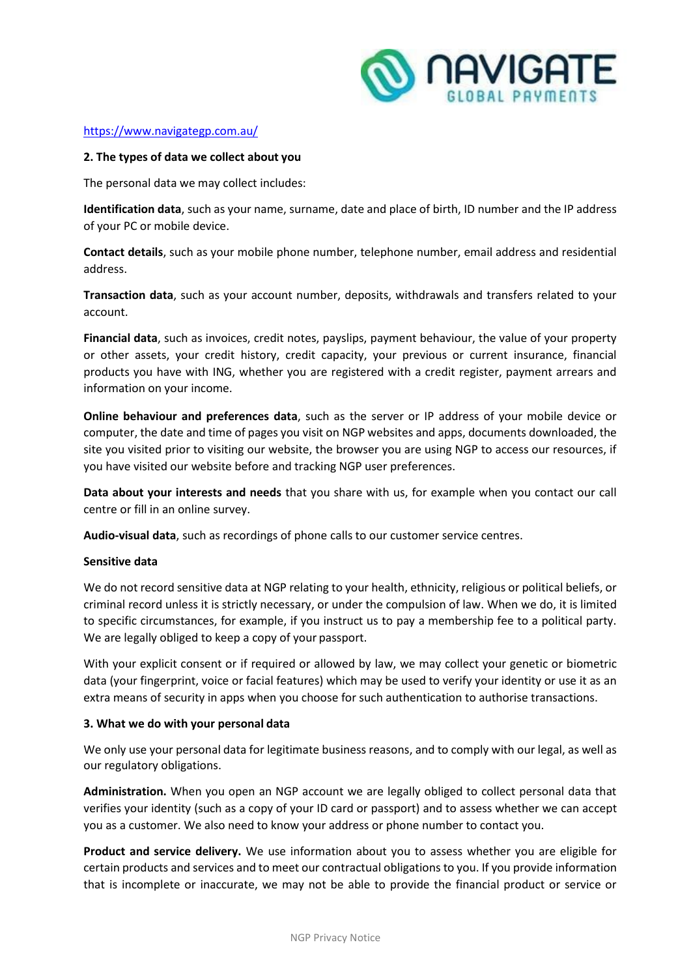

## <https://www.navigategp.com.au/>

## **2. The types of data we collect about you**

The personal data we may collect includes:

**Identification data**, such as your name, surname, date and place of birth, ID number and the IP address of your PC or mobile device.

**Contact details**, such as your mobile phone number, telephone number, email address and residential address.

**Transaction data**, such as your account number, deposits, withdrawals and transfers related to your account.

**Financial data**, such as invoices, credit notes, payslips, payment behaviour, the value of your property or other assets, your credit history, credit capacity, your previous or current insurance, financial products you have with ING, whether you are registered with a credit register, payment arrears and information on your income.

**Online behaviour and preferences data**, such as the server or IP address of your mobile device or computer, the date and time of pages you visit on NGP websites and apps, documents downloaded, the site you visited prior to visiting our website, the browser you are using NGP to access our resources, if you have visited our website before and tracking NGP user preferences.

**Data about your interests and needs** that you share with us, for example when you contact our call centre or fill in an online survey.

**Audio-visual data**, such as recordings of phone calls to our customer service centres.

## **Sensitive data**

We do not record sensitive data at NGP relating to your health, ethnicity, religious or political beliefs, or criminal record unless it is strictly necessary, or under the compulsion of law. When we do, it is limited to specific circumstances, for example, if you instruct us to pay a membership fee to a political party. We are legally obliged to keep a copy of your passport.

With your explicit consent or if required or allowed by law, we may collect your genetic or biometric data (your fingerprint, voice or facial features) which may be used to verify your identity or use it as an extra means of security in apps when you choose for such authentication to authorise transactions.

## **3. What we do with your personal data**

We only use your personal data for legitimate business reasons, and to comply with our legal, as well as our regulatory obligations.

**Administration.** When you open an NGP account we are legally obliged to collect personal data that verifies your identity (such as a copy of your ID card or passport) and to assess whether we can accept you as a customer. We also need to know your address or phone number to contact you.

**Product and service delivery.** We use information about you to assess whether you are eligible for certain products and services and to meet our contractual obligations to you. If you provide information that is incomplete or inaccurate, we may not be able to provide the financial product or service or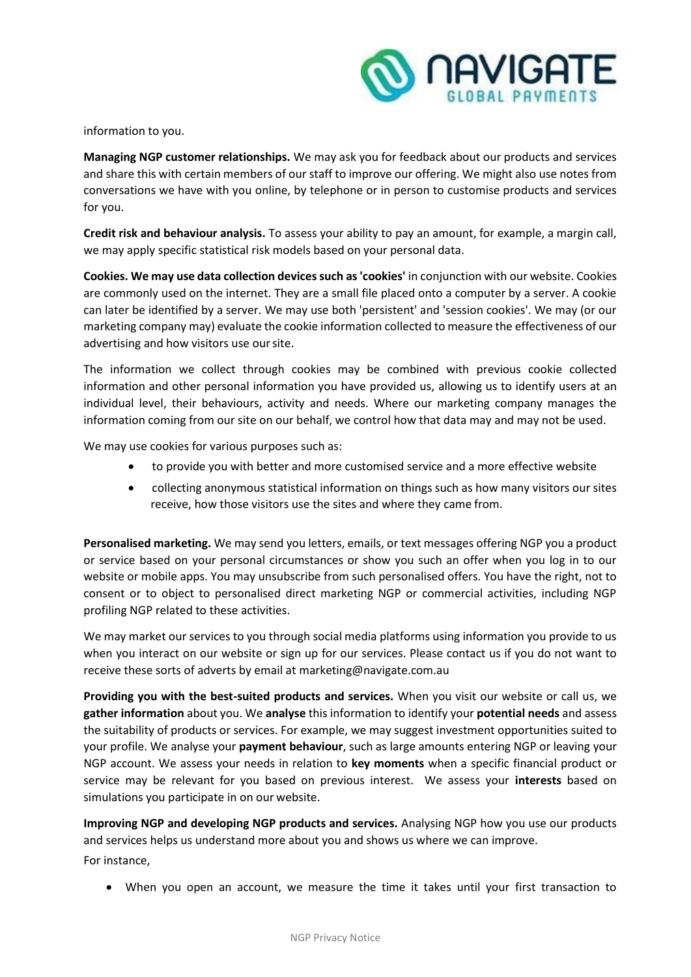

information to you.

**Managing NGP customer relationships.** We may ask you for feedback about our products and services and share this with certain members of our staff to improve our offering. We might also use notes from conversations we have with you online, by telephone or in person to customise products and services for you.

**Credit risk and behaviour analysis.** To assess your ability to pay an amount, for example, a margin call, we may apply specific statistical risk models based on your personal data.

**Cookies. We may use data collection devices such as 'cookies'** in conjunction with our website. Cookies are commonly used on the internet. They are a small file placed onto a computer by a server. A cookie can later be identified by a server. We may use both 'persistent' and 'session cookies'. We may (or our marketing company may) evaluate the cookie information collected to measure the effectiveness of our advertising and how visitors use oursite.

The information we collect through cookies may be combined with previous cookie collected information and other personal information you have provided us, allowing us to identify users at an individual level, their behaviours, activity and needs. Where our marketing company manages the information coming from our site on our behalf, we control how that data may and may not be used.

We may use cookies for various purposes such as:

- to provide you with better and more customised service and a more effective website
- collecting anonymous statistical information on things such as how many visitors our sites receive, how those visitors use the sites and where they came from.

**Personalised marketing.** We may send you letters, emails, or text messages offering NGP you a product or service based on your personal circumstances or show you such an offer when you log in to our website or mobile apps. You may unsubscribe from such personalised offers. You have the right, not to consent or to object to personalised direct marketing NGP or commercial activities, including NGP profiling NGP related to these activities.

We may market our services to you through social media platforms using information you provide to us when you interact on our website or sign up for our services. Please contact us if you do not want to receive these sorts of adverts by email at [marketing@navigate.com.au](mailto:marketing@navigate.com.au)

**Providing you with the best-suited products and services.** When you visit our website or call us, we **gather information** about you. We **analyse** this information to identify your **potential needs** and assess the suitability of products or services. For example, we may suggest investment opportunities suited to your profile. We analyse your **payment behaviour**, such as large amounts entering NGP or leaving your NGP account. We assess your needs in relation to **key moments** when a specific financial product or service may be relevant for you based on previous interest. We assess your **interests** based on simulations you participate in on our website.

**Improving NGP and developing NGP products and services.** Analysing NGP how you use our products and services helps us understand more about you and shows us where we can improve. For instance,

• When you open an account, we measure the time it takes until your first transaction to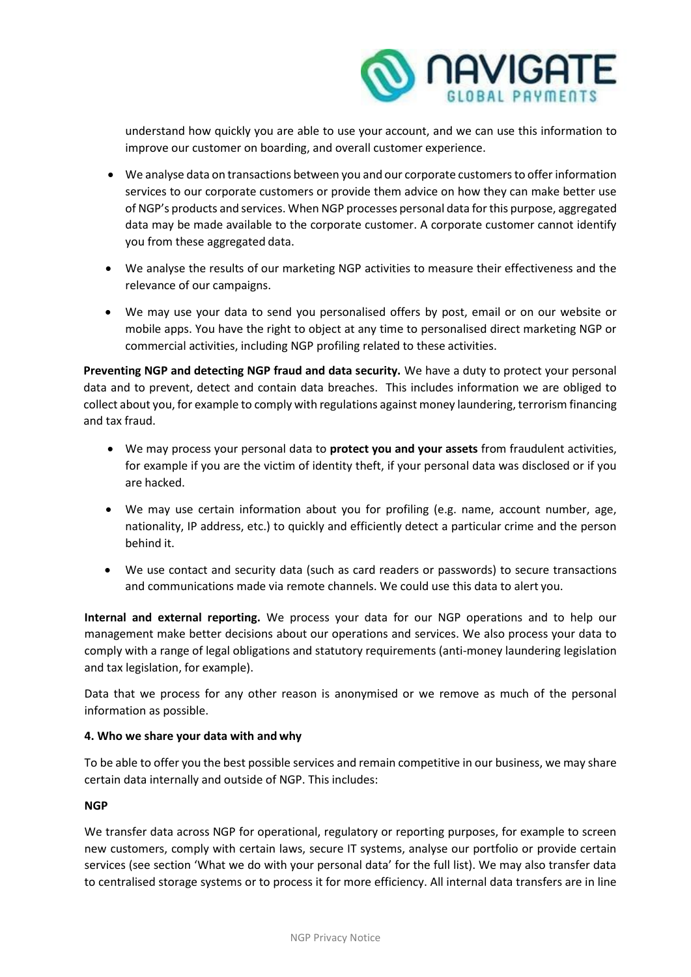

understand how quickly you are able to use your account, and we can use this information to improve our customer on boarding, and overall customer experience.

- We analyse data on transactions between you and our corporate customers to offer information services to our corporate customers or provide them advice on how they can make better use of NGP's products and services. When NGP processes personal data for this purpose, aggregated data may be made available to the corporate customer. A corporate customer cannot identify you from these aggregated data.
- We analyse the results of our marketing NGP activities to measure their effectiveness and the relevance of our campaigns.
- We may use your data to send you personalised offers by post, email or on our website or mobile apps. You have the right to object at any time to personalised direct marketing NGP or commercial activities, including NGP profiling related to these activities.

**Preventing NGP and detecting NGP fraud and data security.** We have a duty to protect your personal data and to prevent, detect and contain data breaches. This includes information we are obliged to collect about you, for example to comply with regulations against money laundering, terrorism financing and tax fraud.

- We may process your personal data to **protect you and your assets** from fraudulent activities, for example if you are the victim of identity theft, if your personal data was disclosed or if you are hacked.
- We may use certain information about you for profiling (e.g. name, account number, age, nationality, IP address, etc.) to quickly and efficiently detect a particular crime and the person behind it.
- We use contact and security data (such as card readers or passwords) to secure transactions and communications made via remote channels. We could use this data to alert you.

**Internal and external reporting.** We process your data for our NGP operations and to help our management make better decisions about our operations and services. We also process your data to comply with a range of legal obligations and statutory requirements (anti-money laundering legislation and tax legislation, for example).

Data that we process for any other reason is anonymised or we remove as much of the personal information as possible.

# **4. Who we share your data with and why**

To be able to offer you the best possible services and remain competitive in our business, we may share certain data internally and outside of NGP. This includes:

# **NGP**

We transfer data across NGP for operational, regulatory or reporting purposes, for example to screen new customers, comply with certain laws, secure IT systems, analyse our portfolio or provide certain services (see section 'What we do with your personal data' for the full list). We may also transfer data to centralised storage systems or to process it for more efficiency. All internal data transfers are in line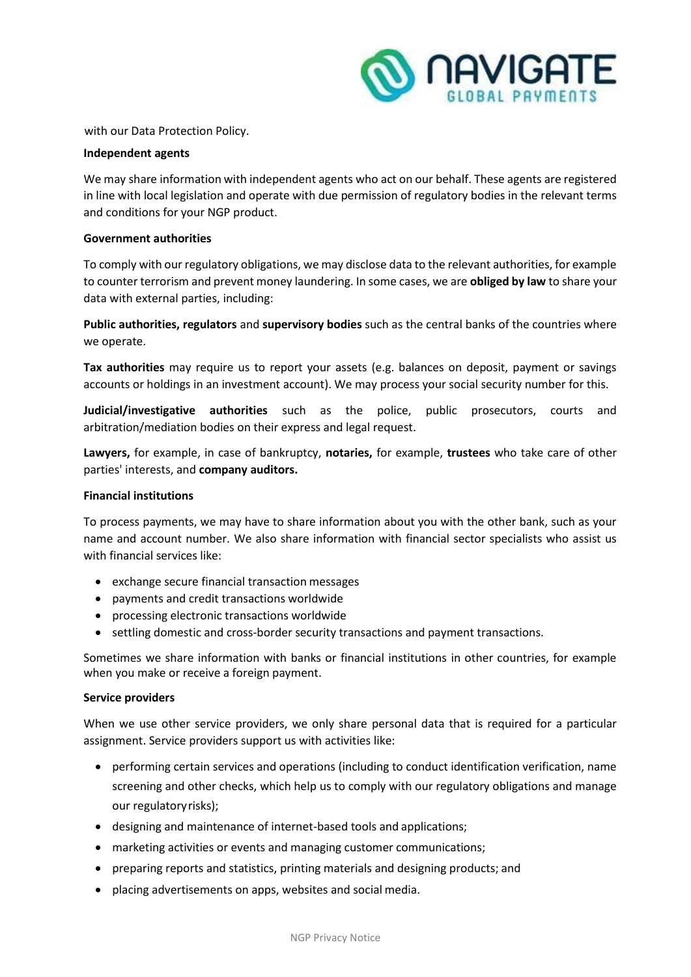

with our Data Protection Policy.

## **Independent agents**

We may share information with independent agents who act on our behalf. These agents are registered in line with local legislation and operate with due permission of regulatory bodies in the relevant terms and conditions for your NGP product.

## **Government authorities**

To comply with our regulatory obligations, we may disclose data to the relevant authorities, for example to counter terrorism and prevent money laundering. In some cases, we are **obliged by law** to share your data with external parties, including:

**Public authorities, regulators** and **supervisory bodies** such as the central banks of the countries where we operate.

**Tax authorities** may require us to report your assets (e.g. balances on deposit, payment or savings accounts or holdings in an investment account). We may process your social security number for this.

**Judicial/investigative authorities** such as the police, public prosecutors, courts and arbitration/mediation bodies on their express and legal request.

**Lawyers,** for example, in case of bankruptcy, **notaries,** for example, **trustees** who take care of other parties' interests, and **company auditors.**

## **Financial institutions**

To process payments, we may have to share information about you with the other bank, such as your name and account number. We also share information with financial sector specialists who assist us with financial services like:

- exchange secure financial transaction messages
- payments and credit transactions worldwide
- processing electronic transactions worldwide
- settling domestic and cross-border security transactions and payment transactions.

Sometimes we share information with banks or financial institutions in other countries, for example when you make or receive a foreign payment.

## **Service providers**

When we use other service providers, we only share personal data that is required for a particular assignment. Service providers support us with activities like:

- performing certain services and operations (including to conduct identification verification, name screening and other checks, which help us to comply with our regulatory obligations and manage our regulatoryrisks);
- designing and maintenance of internet-based tools and applications;
- marketing activities or events and managing customer communications;
- preparing reports and statistics, printing materials and designing products; and
- placing advertisements on apps, websites and social media.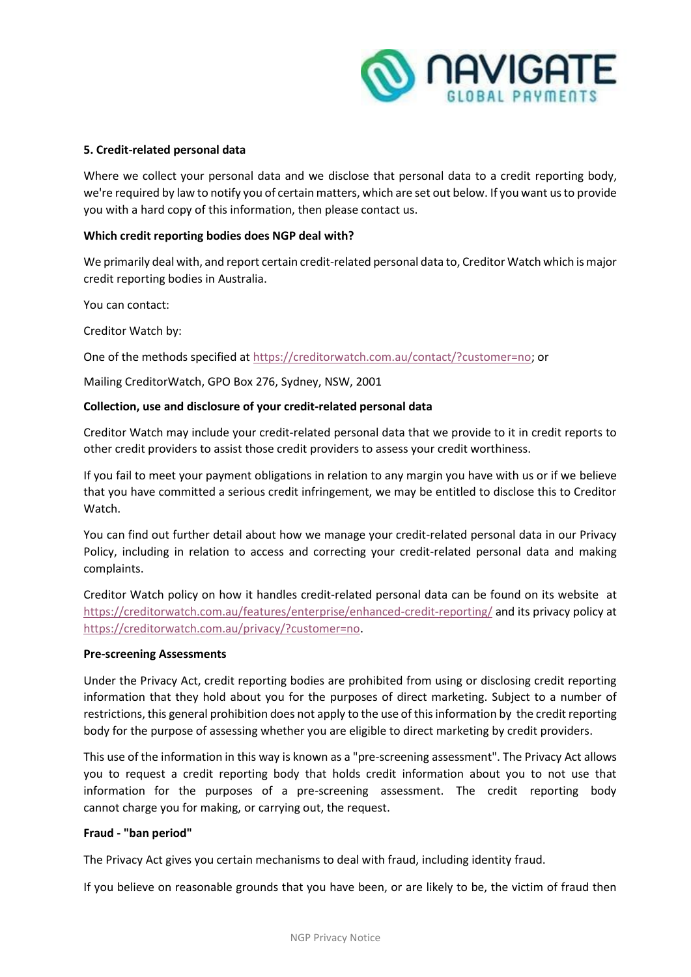

# **5. Credit-related personal data**

Where we collect your personal data and we disclose that personal data to a credit reporting body, we're required by law to notify you of certain matters, which are set out below. If you want us to provide you with a hard copy of this information, then please contact us.

# **Which credit reporting bodies does NGP deal with?**

We primarily deal with, and report certain credit-related personal data to, Creditor Watch which is major credit reporting bodies in Australia.

You can contact:

Creditor Watch by:

One of the methods specified at [https://creditorwatch.com.au/contact/?customer=no;](https://creditorwatch.com.au/contact/?customer=no) or

Mailing CreditorWatch, GPO Box [276, Sydney, NSW, 2001](https://creditorwatch.com.au/contact/)

## **Collection, use and disclosure of your credit-related personal data**

Creditor Watch may include your credit-related personal data that we provide to it in credit reports to other credit providers to assist those credit providers to assess your credit worthiness.

If you fail to meet your payment obligations in relation to any margin you have with us or if we believe that you have committed a serious credit infringement, we may be entitled to disclose this to Creditor Watch.

You can find out further detail about how we manage your credit-related personal data in our Privacy Policy, including in relation to access and correcting your credit-related personal data and making complaints.

Creditor Watch policy on how it handles credit-related personal data can be found on its website at <https://creditorwatch.com.au/features/enterprise/enhanced-credit-reporting/> and its privacy policy at [https://creditorwatch.com.au/privacy/?customer=no.](https://creditorwatch.com.au/privacy/?customer=no)

## **Pre-screening [Assessments](https://creditorwatch.com.au/privacy/)**

Under the Privacy Act, credit reporting bodies are prohibited from using or disclosing credit reporting information that they hold about you for the purposes of direct marketing. Subject to a number of restrictions, this general prohibition does not apply to the use of this information by the credit reporting body for the purpose of assessing whether you are eligible to direct marketing by credit providers.

This use of the information in this way is known as a "pre-screening assessment". The Privacy Act allows you to request a credit reporting body that holds credit information about you to not use that information for the purposes of a pre-screening assessment. The credit reporting body cannot charge you for making, or carrying out, the request.

## **Fraud - "ban period"**

The Privacy Act gives you certain mechanisms to deal with fraud, including identity fraud.

If you believe on reasonable grounds that you have been, or are likely to be, the victim of fraud then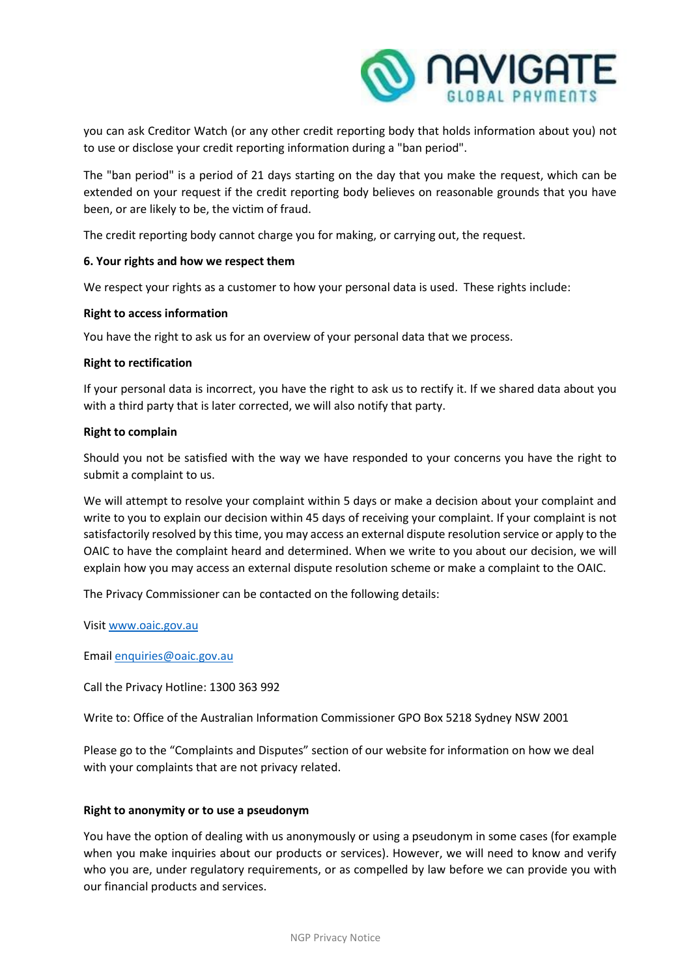

you can ask Creditor Watch (or any other credit reporting body that holds information about you) not to use or disclose your credit reporting information during a "ban period".

The "ban period" is a period of 21 days starting on the day that you make the request, which can be extended on your request if the credit reporting body believes on reasonable grounds that you have been, or are likely to be, the victim of fraud.

The credit reporting body cannot charge you for making, or carrying out, the request.

# **6. Your rights and how we respect them**

We respect your rights as a customer to how your personal data is used. These rights include:

# **Right to access information**

You have the right to ask us for an overview of your personal data that we process.

## **Right to rectification**

If your personal data is incorrect, you have the right to ask us to rectify it. If we shared data about you with a third party that is later corrected, we will also notify that party.

## **Right to complain**

Should you not be satisfied with the way we have responded to your concerns you have the right to submit a complaint to us.

We will attempt to resolve your complaint within 5 days or make a decision about your complaint and write to you to explain our decision within 45 days of receiving your complaint. If your complaint is not satisfactorily resolved by this time, you may access an external dispute resolution service or apply to the OAIC to have the complaint heard and determined. When we write to you about our decision, we will explain how you may access an external dispute resolution scheme or make a complaint to the OAIC.

The Privacy Commissioner can be contacted on the following details:

Visit [www.oaic.gov.au](http://www.oaic.gov.au/)

Email [enquiries@oaic.gov.au](mailto:enquiries@oaic.gov.au)

Call the Privacy Hotline: 1300 363 992

Write to: Office of the Australian Information Commissioner GPO Box 5218 Sydney NSW 2001

Please go to the "Complaints and Disputes" section of our website for information on how we deal with your complaints that are not privacy related.

## **Right to anonymity or to use a pseudonym**

You have the option of dealing with us anonymously or using a pseudonym in some cases (for example when you make inquiries about our products or services). However, we will need to know and verify who you are, under regulatory requirements, or as compelled by law before we can provide you with our financial products and services.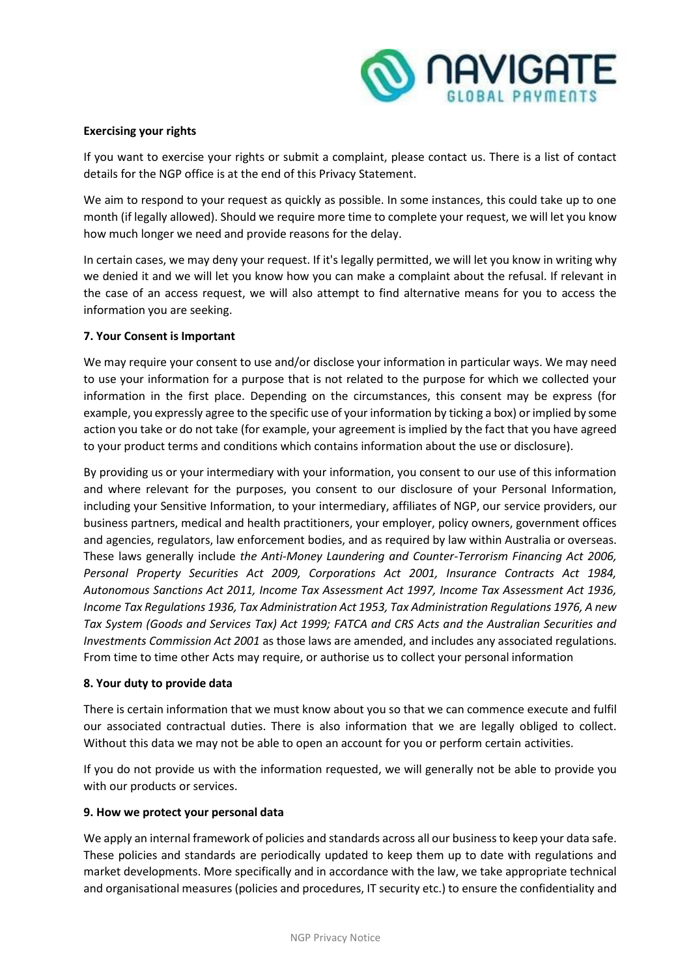

# **Exercising your rights**

If you want to exercise your rights or submit a complaint, please contact us. There is a list of contact details for the NGP office is at the end of this Privacy Statement.

We aim to respond to your request as quickly as possible. In some instances, this could take up to one month (if legally allowed). Should we require more time to complete your request, we will let you know how much longer we need and provide reasons for the delay.

In certain cases, we may deny your request. If it's legally permitted, we will let you know in writing why we denied it and we will let you know how you can make a complaint about the refusal. If relevant in the case of an access request, we will also attempt to find alternative means for you to access the information you are seeking.

# **7. Your Consent is Important**

We may require your consent to use and/or disclose your information in particular ways. We may need to use your information for a purpose that is not related to the purpose for which we collected your information in the first place. Depending on the circumstances, this consent may be express (for example, you expressly agree to the specific use of your information by ticking a box) or implied by some action you take or do not take (for example, your agreement is implied by the fact that you have agreed to your product terms and conditions which contains information about the use or disclosure).

By providing us or your intermediary with your information, you consent to our use of this information and where relevant for the purposes, you consent to our disclosure of your Personal Information, including your Sensitive Information, to your intermediary, affiliates of NGP, our service providers, our business partners, medical and health practitioners, your employer, policy owners, government offices and agencies, regulators, law enforcement bodies, and as required by law within Australia or overseas. These laws generally include *the Anti-Money Laundering and Counter-Terrorism Financing Act 2006, Personal Property Securities Act 2009, Corporations Act 2001, Insurance Contracts Act 1984, Autonomous Sanctions Act 2011, Income Tax Assessment Act 1997, Income Tax Assessment Act 1936, Income Tax Regulations 1936, Tax Administration Act 1953, Tax Administration Regulations 1976, A new Tax System (Goods and Services Tax) Act 1999; FATCA and CRS Acts and the Australian Securities and Investments Commission Act 2001* as those laws are amended, and includes any associated regulations. From time to time other Acts may require, or authorise us to collect your personal information

# **8. Your duty to provide data**

There is certain information that we must know about you so that we can commence execute and fulfil our associated contractual duties. There is also information that we are legally obliged to collect. Without this data we may not be able to open an account for you or perform certain activities.

If you do not provide us with the information requested, we will generally not be able to provide you with our products or services.

# **9. How we protect your personal data**

We apply an internal framework of policies and standards across all our business to keep your data safe. These policies and standards are periodically updated to keep them up to date with regulations and market developments. More specifically and in accordance with the law, we take appropriate technical and organisational measures (policies and procedures, IT security etc.) to ensure the confidentiality and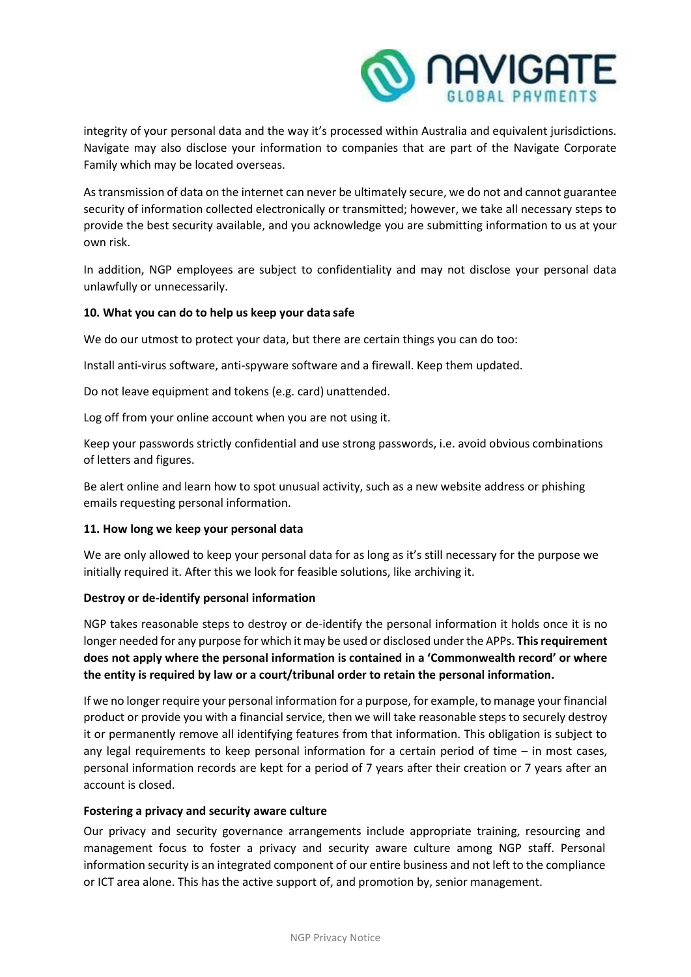

integrity of your personal data and the way it's processed within Australia and equivalent jurisdictions. Navigate may also disclose your information to companies that are part of the Navigate Corporate Family which may be located overseas.

As transmission of data on the internet can never be ultimately secure, we do not and cannot guarantee security of information collected electronically or transmitted; however, we take all necessary steps to provide the best security available, and you acknowledge you are submitting information to us at your own risk.

In addition, NGP employees are subject to confidentiality and may not disclose your personal data unlawfully or unnecessarily.

# **10. What you can do to help us keep your data safe**

We do our utmost to protect your data, but there are certain things you can do too:

Install anti-virus software, anti-spyware software and a firewall. Keep them updated.

Do not leave equipment and tokens (e.g. card) unattended.

Log off from your online account when you are not using it.

Keep your passwords strictly confidential and use strong passwords, i.e. avoid obvious combinations of letters and figures.

Be alert online and learn how to spot unusual activity, such as a new website address or phishing emails requesting personal information.

## **11. How long we keep your personal data**

We are only allowed to keep your personal data for as long as it's still necessary for the purpose we initially required it. After this we look for feasible solutions, like archiving it.

## **Destroy or de-identify personal information**

NGP takes reasonable steps to destroy or de-identify the personal information it holds once it is no longer needed for any purpose for which it may be used or disclosed under the APPs. **This requirement does not apply where the personal information is contained in a 'Commonwealth record' or where the entity is required by law or a court/tribunal order to retain the personal information.**

If we no longer require your personal information for a purpose, for example, to manage your financial product or provide you with a financial service, then we will take reasonable steps to securely destroy it or permanently remove all identifying features from that information. This obligation is subject to any legal requirements to keep personal information for a certain period of time – in most cases, personal information records are kept for a period of 7 years after their creation or 7 years after an account is closed.

## **Fostering a privacy and security aware culture**

Our privacy and security governance arrangements include appropriate training, resourcing and management focus to foster a privacy and security aware culture among NGP staff. Personal information security is an integrated component of our entire business and not left to the compliance or ICT area alone. This has the active support of, and promotion by, senior management.